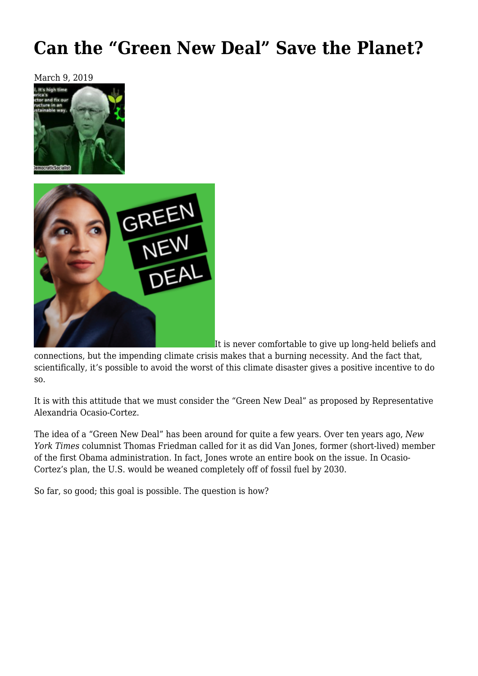# **[Can the "Green New Deal" Save the Planet?](https://newpol.org/can-the-green-new-deal-save-the-planet/)**





It is never comfortable to give up long-held beliefs and

connections, but the impending climate crisis makes that a burning necessity. And the fact that, scientifically, it's possible to avoid the worst of this climate disaster gives a positive incentive to do so.

It is with this attitude that we must consider the "Green New Deal" as proposed by Representative Alexandria Ocasio-Cortez.

The idea of a "Green New Deal" has been around for quite a few years. Over ten years ago, *New York Times* columnist Thomas Friedman called for it as did Van Jones, former (short-lived) member of the first Obama administration. In fact, Jones wrote an entire book on the issue. In Ocasio-Cortez's plan, the U.S. would be weaned completely off of fossil fuel by 2030.

So far, so good; this goal is possible. The question is how?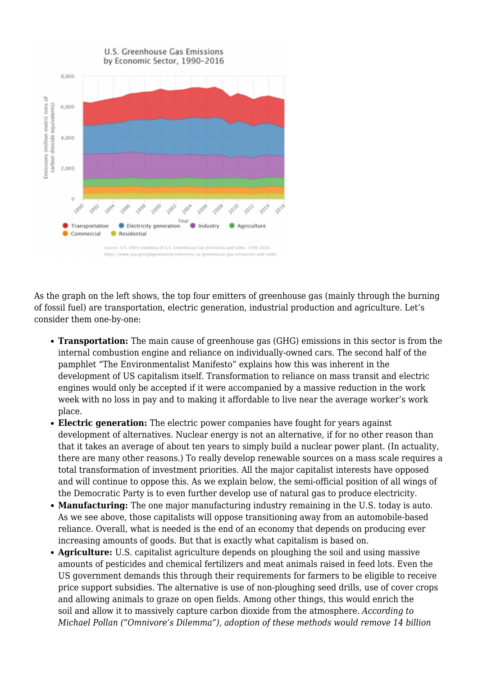

As the graph on the left shows, the top four emitters of greenhouse gas (mainly through the burning of fossil fuel) are transportation, electric generation, industrial production and agriculture. Let's consider them one-by-one:

- **Transportation:** The main cause of greenhouse gas (GHG) emissions in this sector is from the internal combustion engine and reliance on individually-owned cars. The second half of the pamphlet ["The Environmentalist Manifesto"](https://oaklandsocialist.com/2013/08/01/the-environmentalist-manifesto/) explains how this was inherent in the development of US capitalism itself. Transformation to reliance on mass transit and electric engines would only be accepted if it were accompanied by a massive reduction in the work week with no loss in pay and to making it affordable to live near the average worker's work place.
- **Electric generation:** The electric power companies have fought for years against development of alternatives. Nuclear energy is not an alternative, if for no other reason than that it takes an average of about ten years to simply build a nuclear power plant. (In actuality, there are many other [reasons](https://oaklandsocialist.com/2013/11/26/should-socialists-support-nuclear-power/).) To really develop renewable sources on a mass scale requires a total transformation of investment priorities. All the major capitalist interests have opposed and will continue to oppose this. As we explain below, the semi-official position of all wings of the Democratic Party is to even further develop use of natural gas to produce electricity.
- **Manufacturing:** The one major manufacturing industry remaining in the U.S. today is auto. As we see above, those capitalists will oppose transitioning away from an automobile-based reliance. Overall, what is needed is the end of an economy that depends on producing ever increasing amounts of goods. But that is exactly what capitalism is based on.
- **Agriculture:** U.S. capitalist agriculture depends on ploughing the soil and using massive amounts of pesticides and chemical fertilizers and meat animals raised in feed lots. Even the US government demands this through their requirements for farmers to be eligible to receive price support subsidies. The alternative is use of non-ploughing seed drills, use of cover crops and allowing animals to graze on open fields. Among other things, this would [enrich the](https://oaklandsocialist.com/2018/10/10/developing-a-marxist-approach-to-global-agriculture-a-primer-on-the-role-of-animals-in-maintaining-soil-health/) [soil](https://oaklandsocialist.com/2018/10/10/developing-a-marxist-approach-to-global-agriculture-a-primer-on-the-role-of-animals-in-maintaining-soil-health/) and allow it to massively capture carbon dioxide from the atmosphere. *According to Michael Pollan ("Omnivore's Dilemma"), adoption of these methods would remove 14 billion*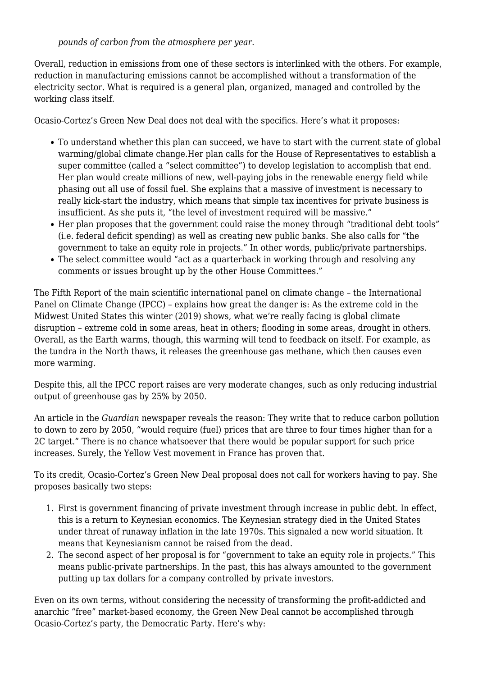*pounds of carbon from the atmosphere per year.*

Overall, reduction in emissions from one of these sectors is interlinked with the others. For example, reduction in manufacturing emissions cannot be accomplished without a transformation of the electricity sector. What is required is a general plan, organized, managed and controlled by the working class itself.

Ocasio-Cortez's Green New Deal does not deal with the specifics. Here's what it proposes:

- To understand whether this plan can succeed, we have to start with the current state of global warming/global climate change.Her plan calls for the House of Representatives to establish a super committee (called a "select committee") to develop legislation to accomplish that end. Her plan would create millions of new, well-paying jobs in the renewable energy field while phasing out all use of fossil fuel. She explains that a massive of investment is necessary to really kick-start the industry, which means that simple tax incentives for private business is insufficient. As she puts it, "the level of investment required will be massive."
- Her plan proposes that the government could raise the money through "traditional debt tools" (i.e. federal deficit spending) as well as creating new public banks. She also calls for "the government to take an equity role in projects." In other words, public/private partnerships.
- The select committee would "act as a quarterback in working through and resolving any comments or issues brought up by the other House Committees."

The Fifth Report of the main scientific international panel on climate change – the International Panel on Climate Change (IPCC) – explains how great the danger is: As the extreme cold in the Midwest United States this winter (2019) shows, what we're really facing is global climate disruption – extreme cold in some areas, heat in others; flooding in some areas, drought in others. Overall, as the Earth warms, though, this warming will tend to feedback on itself. For example, as the tundra in the North thaws, it releases the greenhouse gas methane, which then causes even more warming.

Despite this, all the IPCC report raises are very moderate changes, such as only reducing industrial output of greenhouse gas by 25% by 2050.

An article in the *[Guardian](https://www.theguardian.com/environment/2018/oct/08/global-warming-must-not-exceed-15c-warns-landmark-un-report)* newspaper reveals the reason: They write that to reduce carbon pollution to down to zero by 2050, "would require (fuel) prices that are three to four times higher than for a 2C target." There is no chance whatsoever that there would be popular support for such price increases. Surely, the Yellow Vest movement in France has proven that.

To its credit, Ocasio-Cortez's Green New Deal proposal does not call for workers having to pay. She proposes basically two steps:

- 1. First is government financing of private investment through increase in public debt. In effect, this is a return to Keynesian economics. The Keynesian strategy died in the United States under threat of runaway inflation in the late 1970s. This signaled a new world situation. It means that Keynesianism cannot be raised from the dead.
- 2. The second aspect of her proposal is for "government to take an equity role in projects." This means public-private partnerships. In the past, this has always amounted to the government putting up tax dollars for a company controlled by private investors.

Even on its own terms, without considering the necessity of transforming the profit-addicted and anarchic "free" market-based economy, the Green New Deal cannot be accomplished through Ocasio-Cortez's party, the Democratic Party. Here's why: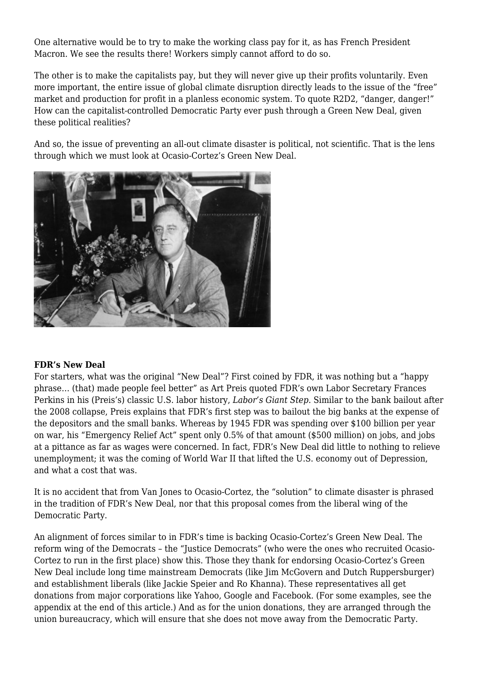One alternative would be to try to make the working class pay for it, as has French President Macron. We see the results there! Workers simply cannot afford to do so.

The other is to make the capitalists pay, but they will never give up their profits voluntarily. Even more important, the entire issue of global climate disruption directly leads to the issue of the "free" market and production for profit in a planless economic system. To quote R2D2, "danger, danger!" How can the capitalist-controlled Democratic Party ever push through a Green New Deal, given these political realities?

And so, the issue of preventing an all-out climate disaster is political, not scientific. That is the lens through which we must look at Ocasio-Cortez's Green New Deal.



#### **FDR's New Deal**

For starters, what was the original "New Deal"? First coined by FDR, it was nothing but a "happy phrase… (that) made people feel better" as Art Preis quoted FDR's own Labor Secretary Frances Perkins in his (Preis's) classic U.S. labor history, *Labor's Giant Step*. Similar to the bank bailout after the 2008 collapse, Preis explains that FDR's first step was to bailout the big banks at the expense of the depositors and the small banks. Whereas by 1945 FDR was spending over \$100 billion per year on war, his "Emergency Relief Act" spent only 0.5% of that amount (\$500 million) on jobs, and jobs at a pittance as far as wages were concerned. In fact, FDR's New Deal did little to nothing to relieve unemployment; it was the coming of World War II that lifted the U.S. economy out of Depression, and what a cost that was.

It is no accident that from Van Jones to Ocasio-Cortez, the "solution" to climate disaster is phrased in the tradition of FDR's New Deal, nor that this proposal comes from the liberal wing of the Democratic Party.

An alignment of forces similar to in FDR's time is backing Ocasio-Cortez's Green New Deal. The reform wing of the Democrats – the "Justice Democrats" (who were the ones who recruited Ocasio-Cortez to run in the first place) show this. Those they thank for endorsing Ocasio-Cortez's Green New Deal include long time mainstream Democrats (like Jim McGovern and Dutch Ruppersburger) and establishment liberals (like Jackie Speier and Ro Khanna). These representatives all get donations from major corporations like Yahoo, Google and Facebook. (For some examples, see the appendix at the end of this article.) And as for the union donations, they are arranged through the union bureaucracy, which will ensure that she does not move away from the Democratic Party.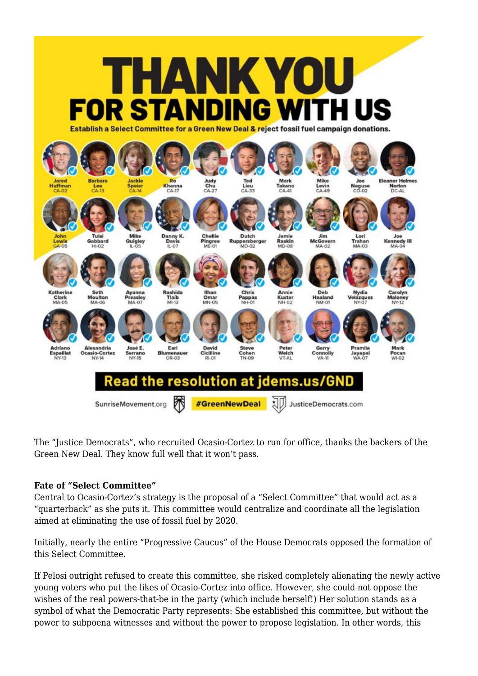

The "Justice Democrats", who recruited Ocasio-Cortez to run for office, thanks the backers of the Green New Deal. They know full well that it won't pass.

## **Fate of "Select Committee"**

Central to Ocasio-Cortez's strategy is the proposal of a "Select Committee" that would act as a "quarterback" as she puts it. This committee would centralize and coordinate all the legislation aimed at eliminating the use of fossil fuel by 2020.

Initially, nearly the entire "Progressive Caucus" of the House Democrats opposed the formation of this Select Committee.

If Pelosi outright refused to create this committee, she risked completely alienating the newly active young voters who put the likes of Ocasio-Cortez into office. However, she could not oppose the wishes of the real powers-that-be in the party (which include herself!) Her solution stands as a symbol of what the Democratic Party represents: She established this committee, but without the power to subpoena witnesses and without the power to propose legislation. In other words, this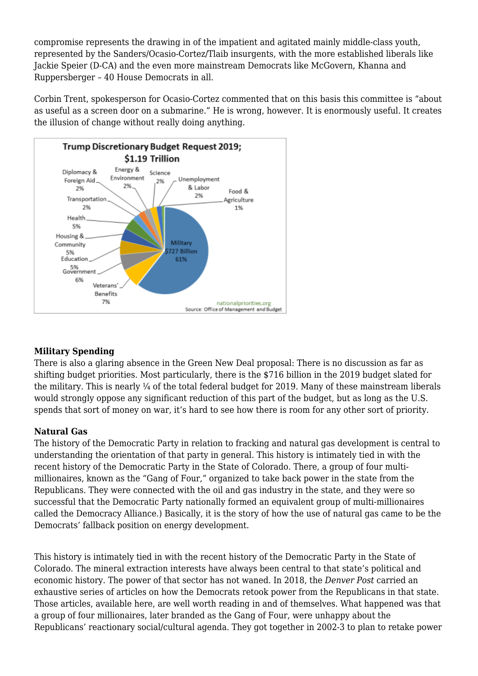compromise represents the drawing in of the impatient and agitated mainly middle-class youth, represented by the Sanders/Ocasio-Cortez/Tlaib insurgents, with the more established liberals like Jackie Speier (D-CA) and the even more mainstream Democrats like McGovern, Khanna and Ruppersberger – 40 House Democrats in all.

Corbin Trent, spokesperson for Ocasio-Cortez [commented](https://thehill.com/policy/energy-environment/423146-ocasio-cortez-progressives-express-disappointment-with-climate) that on this basis this committee is "about as useful as a screen door on a submarine." He is wrong, however. It is enormously useful. It creates the illusion of change without really doing anything.



# **Military Spending**

There is also a glaring absence in the Green New Deal proposal: There is no discussion as far as shifting budget priorities. Most particularly, there is the \$716 billion in the 2019 budget slated for the military. This is nearly ¼ of the total federal budget for 2019. Many of these mainstream liberals would strongly oppose any significant reduction of this part of the budget, but as long as the U.S. spends that sort of money on war, it's hard to see how there is room for any other sort of priority.

## **Natural Gas**

The history of the Democratic Party in relation to fracking and natural gas development is central to understanding the orientation of that party in general. This history is intimately tied in with the recent history of the Democratic Party in the State of Colorado. There, a group of four multimillionaires, known as the "Gang of Four," organized to take back power in the state from the Republicans. They were connected with the oil and gas industry in the state, and they were so successful that the Democratic Party nationally formed an equivalent group of multi-millionaires called the Democracy Alliance.) Basically, it is the story of how the use of natural gas came to be the Democrats' fallback position on energy development.

This history is intimately tied in with the recent history of the Democratic Party in the State of Colorado. The mineral extraction interests have always been central to that state's political and economic history. The power of that sector has not waned. In 2018, the *Denver Post* carried an exhaustive series of articles on how the Democrats retook power from the Republicans in that state. Those articles, available [here](https://www.denverpost.com/2018/03/05/polis-guns-oil-and-gas-democratic-caucus-colorado/%20and%20here%20https://www.denverpost.com/2018/08/22/jared-polis-heckled-by-anti-drilling-advocates/), are well worth reading in and of themselves. What happened was that a group of four millionaires, later branded as the Gang of Four, were unhappy about the Republicans' reactionary social/cultural agenda. They got together in 2002-3 to plan to retake power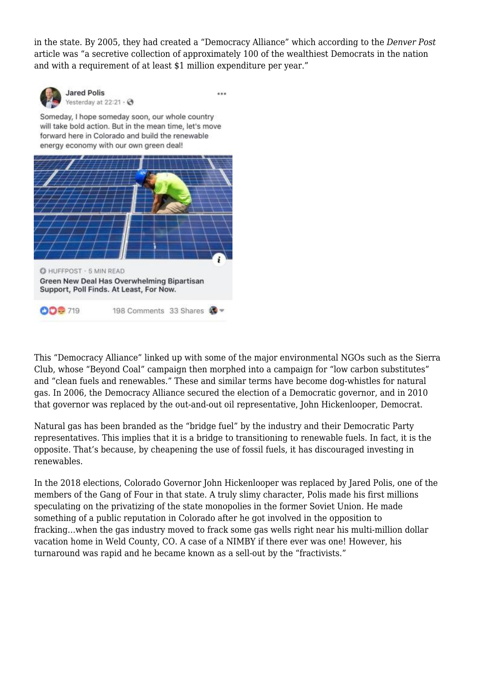in the state. By 2005, they had created a "Democracy Alliance" which according to the *Denver Post* article was "a secretive collection of approximately 100 of the wealthiest Democrats in the nation and with a requirement of at least \$1 million expenditure per year."



**Jared Polis** Yesterday at 22:21 · →

 $\ddotsc$ 

Someday, I hope someday soon, our whole country will take bold action. But in the mean time, let's move forward here in Colorado and build the renewable energy economy with our own green deal!



This "Democracy Alliance" linked up with some of the major environmental NGOs such as the Sierra Club, whose "Beyond Coal" campaign then morphed into a campaign for "low carbon substitutes" and "clean fuels and renewables." These and similar terms have become dog-whistles for natural gas. In 2006, the Democracy Alliance secured the election of a Democratic governor, and in 2010 that governor was replaced by the out-and-out oil representative, John Hickenlooper, Democrat.

Natural gas has been branded as the "bridge fuel" by the industry and their Democratic Party representatives. This implies that it is a bridge to transitioning to renewable fuels. In fact, it is the opposite. That's because, by cheapening the use of fossil fuels, it has discouraged investing in renewables.

In the 2018 elections, Colorado Governor John Hickenlooper was replaced by Jared Polis, one of the members of the Gang of Four in that state. A truly slimy character, Polis made his first millions speculating on the privatizing of the state monopolies in the former Soviet Union. He made something of a public reputation in Colorado after he got involved in the opposition to fracking…when the gas industry moved to frack some gas wells right [near his multi-million dollar](https://www.hcn.org/issues/46.14/jared-polis-abandons-anti-fracking-initiatives) [vacation home](https://www.hcn.org/issues/46.14/jared-polis-abandons-anti-fracking-initiatives) in Weld County, CO. A case of a NIMBY if there ever was one! However, his turnaround was rapid and he became known as a [sell-out b](https://www.hcn.org/issues/46.14/jared-polis-abandons-anti-fracking-initiatives)y the "fractivists."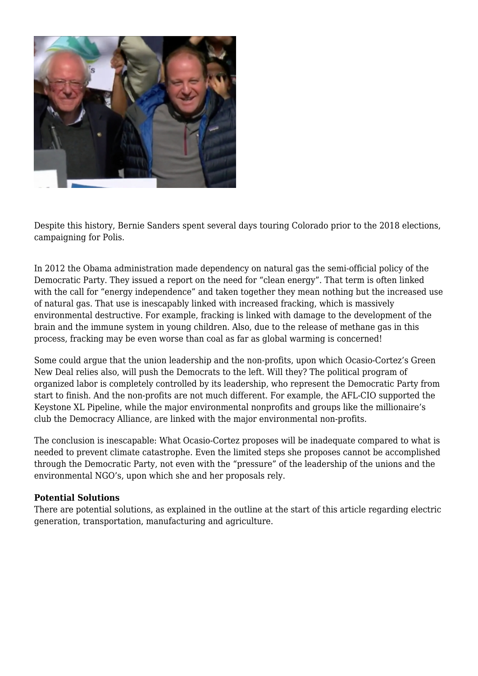

Despite this history, Bernie Sanders spent several days touring Colorado prior to the 2018 elections, campaigning for Polis.

In 2012 the Obama administration made dependency on natural gas the semi-official policy of the Democratic Party. They issued a report on the need for "clean energy". That term is often linked with the call for "energy independence" and taken together they mean nothing but the increased use of natural gas. That use is inescapably linked with increased fracking, which is massively environmental destructive. For example, fracking is [linked](https://www.momscleanairforce.org/fracking-chemicals-harm-childrens-brains/) with damage to the development of the brain and the immune system in young children. Also, due to the [release of methane gas](http://news.cornell.edu/stories/2011/04/fracking-leaks-may-make-gas-dirtier-coal) in this process, fracking may be even worse than coal as far as global warming is concerned!

Some could argue that the union leadership and the non-profits, upon which Ocasio-Cortez's Green New Deal relies also, will push the Democrats to the left. Will they? The political program of organized labor is completely controlled by its leadership, who represent the Democratic Party from start to finish. And the non-profits are not much different. For example, the AFL-CIO supported the Keystone XL Pipeline, while the major environmental nonprofits and groups like the millionaire's club the Democracy Alliance, are linked with the major environmental non-profits.

The conclusion is inescapable: What Ocasio-Cortez proposes will be inadequate compared to what is needed to prevent climate catastrophe. Even the limited steps she proposes cannot be accomplished through the Democratic Party, not even with the "pressure" of the leadership of the unions and the environmental NGO's, upon which she and her proposals rely.

#### **Potential Solutions**

There are potential solutions, as explained in the outline at the start of this article regarding electric generation, transportation, manufacturing and agriculture.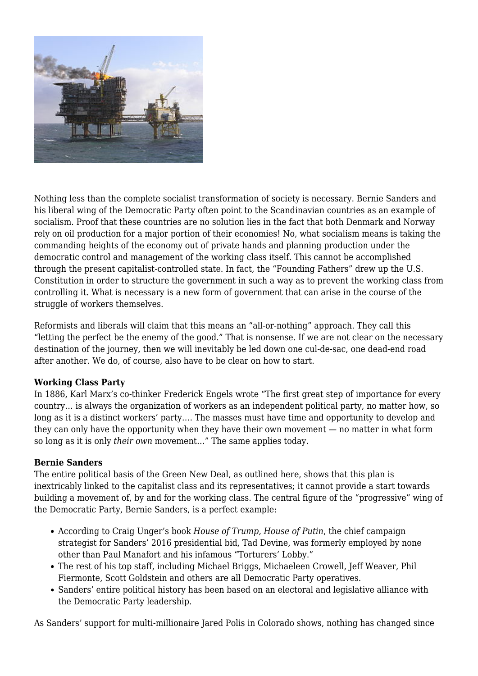

Nothing less than the complete socialist transformation of society is necessary. Bernie Sanders and his liberal wing of the Democratic Party often point to the Scandinavian countries as an example of socialism. Proof that these countries are no solution lies in the fact that both Denmark and Norway rely on oil production for a major portion of their economies! No, what socialism means is taking the commanding heights of the economy out of private hands and planning production under the democratic control and management of the working class itself. This cannot be accomplished through the present capitalist-controlled state. In fact, the "Founding Fathers" drew up the U.S. Constitution in order to structure the government in such a way as to prevent the working class from controlling it. What is necessary is a new form of government that can arise in the course of the struggle of workers themselves.

Reformists and liberals will claim that this means an "all-or-nothing" approach. They call this "letting the perfect be the enemy of the good." That is nonsense. If we are not clear on the necessary destination of the journey, then we will inevitably be led down one cul-de-sac, one dead-end road after another. We do, of course, also have to be clear on how to start.

## **Working Class Party**

In 1886, Karl Marx's co-thinker Frederick Engels [wrote](https://www.marxists.org/archive/marx/works/1886/letters/86_11_29.htm) "The first great step of importance for every country… is always the organization of workers as an independent political party, no matter how, so long as it is a distinct workers' party…. The masses must have time and opportunity to develop and they can only have the opportunity when they have their own movement — no matter in what form so long as it is only *their own* movement…" The same applies today.

#### **Bernie Sanders**

The entire political basis of the Green New Deal, as outlined here, shows that this plan is inextricably linked to the capitalist class and its representatives; it cannot provide a start towards building a movement of, by and for the working class. The central figure of the "progressive" wing of the Democratic Party, Bernie Sanders, is a perfect example:

- According to Craig Unger's book *House of Trump, House of Putin*, the chief campaign strategist for Sanders' 2016 presidential bid, Tad Devine, was formerly employed by none other than Paul Manafort and his infamous "Torturers' Lobby."
- The rest of his top staff, including Michael Briggs, Michaeleen Crowell, Jeff Weaver, Phil Fiermonte, Scott Goldstein and others are all Democratic Party operatives.
- Sanders' [entire political history](https://oaklandsocialist.com/2016/01/14/can-sanders-break-from-the-democratic-party/) has been based on an electoral and legislative alliance with the Democratic Party leadership.

As Sanders' support for multi-millionaire Jared Polis in Colorado shows, nothing has changed since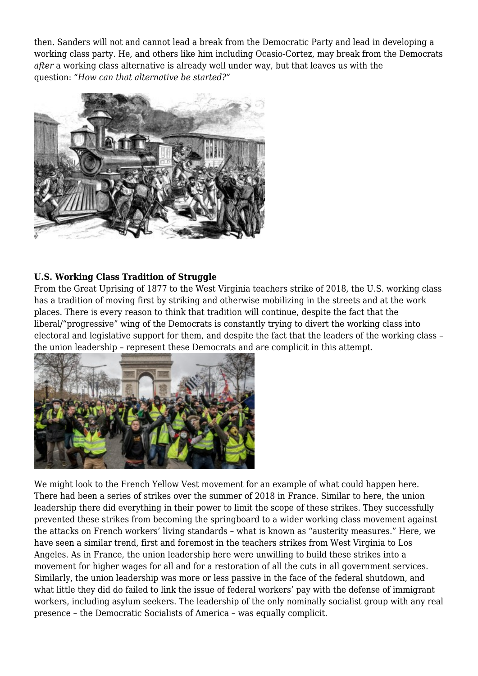then. Sanders will not and cannot lead a break from the Democratic Party and lead in developing a working class party. He, and others like him including Ocasio-Cortez, may break from the Democrats *after* a working class alternative is already well under way, but that leaves us with the question: *"How can that alternative be started?"*



## **U.S. Working Class Tradition of Struggle**

From the Great Uprising of 1877 to the West Virginia teachers strike of 2018, the U.S. working class has a tradition of moving first by striking and otherwise mobilizing in the streets and at the work places. There is every reason to think that tradition will continue, despite the fact that the liberal/"progressive" wing of the Democrats is constantly trying to divert the working class into electoral and legislative support for them, and despite the fact that the leaders of the working class – the union leadership – represent these Democrats and are complicit in this attempt.



We might look to the French Yellow Vest movement for an example of what could happen here. There had been a series of strikes over the summer of 2018 in France. Similar to here, the union leadership there did everything in their power to limit the scope of these strikes. They successfully prevented these strikes from becoming the springboard to a wider working class movement against the attacks on French workers' living standards – what is known as "austerity measures." Here, we have seen a similar trend, first and foremost in the teachers strikes from West Virginia to Los Angeles. As in France, the union leadership here were unwilling to build these strikes into a movement for higher wages for all and for a restoration of all the cuts in all government services. Similarly, the union leadership was more or less passive in the face of the federal shutdown, and what little they did do failed to link the issue of federal workers' pay with the defense of immigrant workers, including asylum seekers. The leadership of the only nominally socialist group with any real presence – the Democratic Socialists of America – was equally complicit.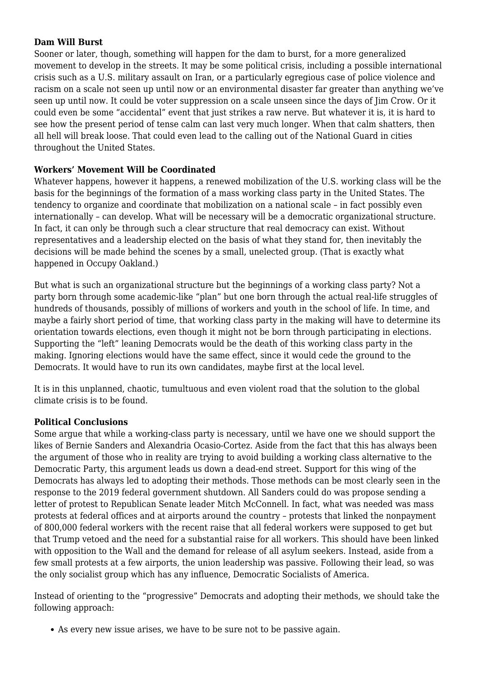#### **Dam Will Burst**

Sooner or later, though, something will happen for the dam to burst, for a more generalized movement to develop in the streets. It may be some political crisis, including a possible international crisis such as a U.S. military assault on Iran, or a particularly egregious case of police violence and racism on a scale not seen up until now or an environmental disaster far greater than anything we've seen up until now. It could be voter suppression on a scale unseen since the days of Jim Crow. Or it could even be some "accidental" event that just strikes a raw nerve. But whatever it is, it is hard to see how the present period of tense calm can last very much longer. When that calm shatters, then all hell will break loose. That could even lead to the calling out of the National Guard in cities throughout the United States.

#### **Workers' Movement Will be Coordinated**

Whatever happens, however it happens, a renewed mobilization of the U.S. working class will be the basis for the beginnings of the formation of a mass working class party in the United States. The tendency to organize and coordinate that mobilization on a national scale – in fact possibly even internationally – can develop. What will be necessary will be a democratic organizational structure. In fact, it can only be through such a clear structure that real democracy can exist. Without representatives and a leadership elected on the basis of what they stand for, then inevitably the decisions will be made behind the scenes by a small, unelected group. (That is exactly what happened in Occupy Oakland.)

But what is such an organizational structure but the beginnings of a working class party? Not a party born through some academic-like "plan" but one born through the actual real-life struggles of hundreds of thousands, possibly of millions of workers and youth in the school of life. In time, and maybe a fairly short period of time, that working class party in the making will have to determine its orientation towards elections, even though it might not be born through participating in elections. Supporting the "left" leaning Democrats would be the death of this working class party in the making. Ignoring elections would have the same effect, since it would cede the ground to the Democrats. It would have to run its own candidates, maybe first at the local level.

It is in this unplanned, chaotic, tumultuous and even violent road that the solution to the global climate crisis is to be found.

## **Political Conclusions**

Some argue that while a working-class party is necessary, until we have one we should support the likes of Bernie Sanders and Alexandria Ocasio-Cortez. Aside from the fact that this has always been the argument of those who in reality are trying to avoid building a working class alternative to the Democratic Party, this argument leads us down a dead-end street. Support for this wing of the Democrats has always led to adopting their methods. Those methods can be most clearly seen in the response to the 2019 federal government shutdown. All Sanders could do was propose sending a letter of protest to Republican Senate leader Mitch McConnell. In fact, what was needed was mass protests at federal offices and at airports around the country – protests that linked the nonpayment of 800,000 federal workers with the recent raise that all federal workers were supposed to get but that Trump vetoed and the need for a substantial raise for all workers. This should have been linked with opposition to the Wall and the demand for release of all asylum seekers. Instead, aside from a few small protests at a few airports, the union leadership was passive. Following their lead, so was the only socialist group which has any influence, Democratic Socialists of America.

Instead of orienting to the "progressive" Democrats and adopting their methods, we should take the following approach:

As every new issue arises, we have to be sure not to be passive again.